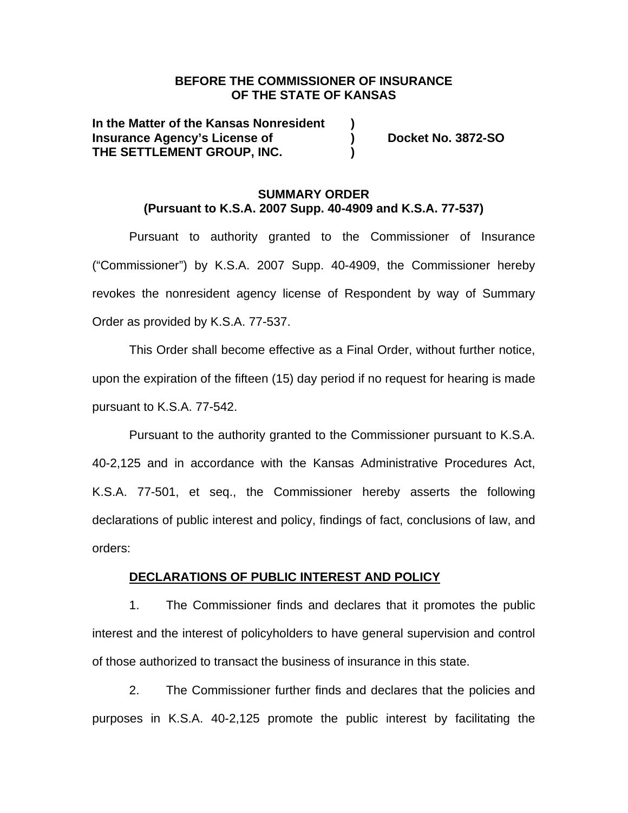## **BEFORE THE COMMISSIONER OF INSURANCE OF THE STATE OF KANSAS**

**In the Matter of the Kansas Nonresident ) Insurance Agency's License of ) Docket No. 3872-SO THE SETTLEMENT GROUP, INC. )** 

## **SUMMARY ORDER (Pursuant to K.S.A. 2007 Supp. 40-4909 and K.S.A. 77-537)**

Pursuant to authority granted to the Commissioner of Insurance ("Commissioner") by K.S.A. 2007 Supp. 40-4909, the Commissioner hereby revokes the nonresident agency license of Respondent by way of Summary Order as provided by K.S.A. 77-537.

This Order shall become effective as a Final Order, without further notice, upon the expiration of the fifteen (15) day period if no request for hearing is made pursuant to K.S.A. 77-542.

Pursuant to the authority granted to the Commissioner pursuant to K.S.A. 40-2,125 and in accordance with the Kansas Administrative Procedures Act, K.S.A. 77-501, et seq., the Commissioner hereby asserts the following declarations of public interest and policy, findings of fact, conclusions of law, and orders:

### **DECLARATIONS OF PUBLIC INTEREST AND POLICY**

1. The Commissioner finds and declares that it promotes the public interest and the interest of policyholders to have general supervision and control of those authorized to transact the business of insurance in this state.

2. The Commissioner further finds and declares that the policies and purposes in K.S.A. 40-2,125 promote the public interest by facilitating the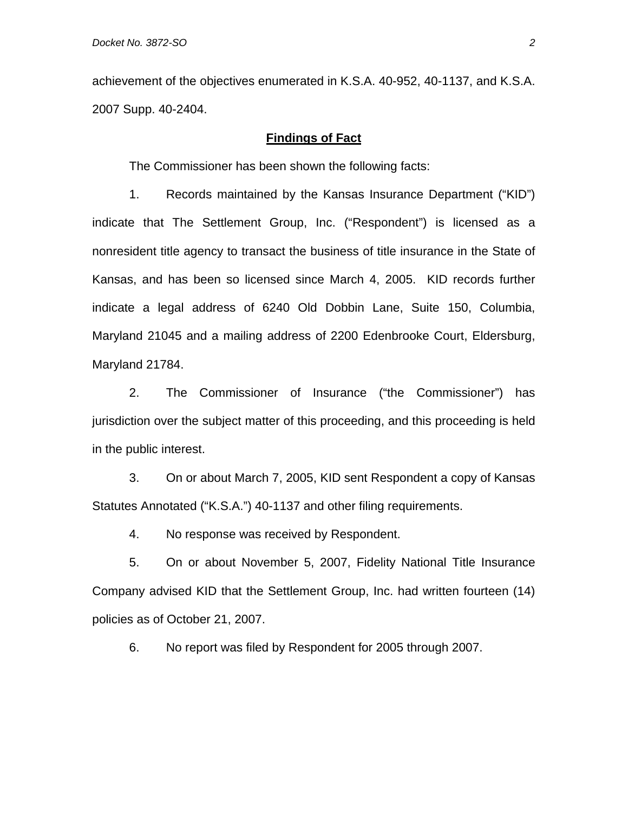achievement of the objectives enumerated in K.S.A. 40-952, 40-1137, and K.S.A. 2007 Supp. 40-2404.

## **Findings of Fact**

The Commissioner has been shown the following facts:

1. Records maintained by the Kansas Insurance Department ("KID") indicate that The Settlement Group, Inc. ("Respondent") is licensed as a nonresident title agency to transact the business of title insurance in the State of Kansas, and has been so licensed since March 4, 2005. KID records further indicate a legal address of 6240 Old Dobbin Lane, Suite 150, Columbia, Maryland 21045 and a mailing address of 2200 Edenbrooke Court, Eldersburg, Maryland 21784.

2. The Commissioner of Insurance ("the Commissioner") has jurisdiction over the subject matter of this proceeding, and this proceeding is held in the public interest.

3. On or about March 7, 2005, KID sent Respondent a copy of Kansas Statutes Annotated ("K.S.A.") 40-1137 and other filing requirements.

4. No response was received by Respondent.

5. On or about November 5, 2007, Fidelity National Title Insurance Company advised KID that the Settlement Group, Inc. had written fourteen (14) policies as of October 21, 2007.

6. No report was filed by Respondent for 2005 through 2007.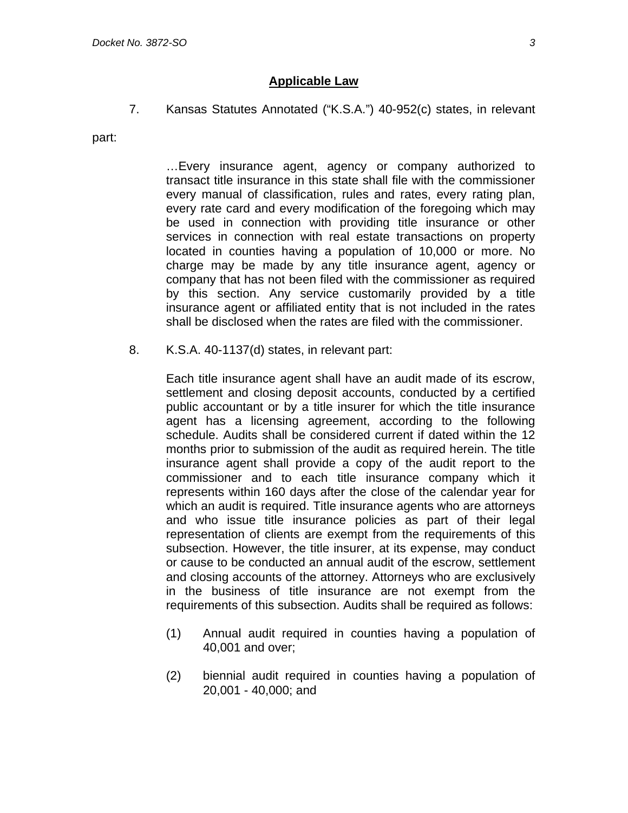7. Kansas Statutes Annotated ("K.S.A.") 40-952(c) states, in relevant

part:

…Every insurance agent, agency or company authorized to transact title insurance in this state shall file with the commissioner every manual of classification, rules and rates, every rating plan, every rate card and every modification of the foregoing which may be used in connection with providing title insurance or other services in connection with real estate transactions on property located in counties having a population of 10,000 or more. No charge may be made by any title insurance agent, agency or company that has not been filed with the commissioner as required by this section. Any service customarily provided by a title insurance agent or affiliated entity that is not included in the rates shall be disclosed when the rates are filed with the commissioner.

8. K.S.A. 40-1137(d) states, in relevant part:

Each title insurance agent shall have an audit made of its escrow, settlement and closing deposit accounts, conducted by a certified public accountant or by a title insurer for which the title insurance agent has a licensing agreement, according to the following schedule. Audits shall be considered current if dated within the 12 months prior to submission of the audit as required herein. The title insurance agent shall provide a copy of the audit report to the commissioner and to each title insurance company which it represents within 160 days after the close of the calendar year for which an audit is required. Title insurance agents who are attorneys and who issue title insurance policies as part of their legal representation of clients are exempt from the requirements of this subsection. However, the title insurer, at its expense, may conduct or cause to be conducted an annual audit of the escrow, settlement and closing accounts of the attorney. Attorneys who are exclusively in the business of title insurance are not exempt from the requirements of this subsection. Audits shall be required as follows:

- (1) Annual audit required in counties having a population of 40,001 and over;
- (2) biennial audit required in counties having a population of 20,001 - 40,000; and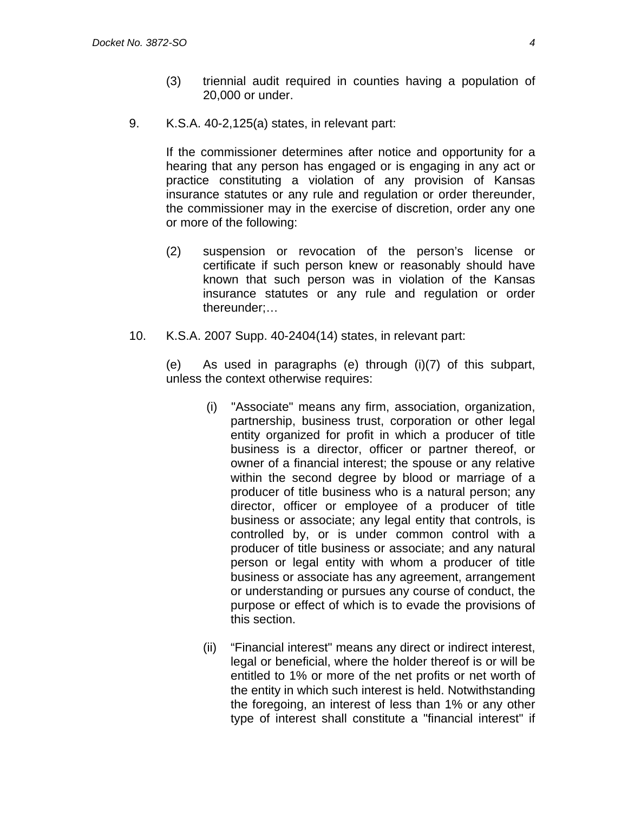- (3) triennial audit required in counties having a population of 20,000 or under.
- 9. K.S.A. 40-2,125(a) states, in relevant part:

If the commissioner determines after notice and opportunity for a hearing that any person has engaged or is engaging in any act or practice constituting a violation of any provision of Kansas insurance statutes or any rule and regulation or order thereunder, the commissioner may in the exercise of discretion, order any one or more of the following:

- (2) suspension or revocation of the person's license or certificate if such person knew or reasonably should have known that such person was in violation of the Kansas insurance statutes or any rule and regulation or order thereunder;…
- 10. K.S.A. 2007 Supp. 40-2404(14) states, in relevant part:

(e) As used in paragraphs (e) through (i)(7) of this subpart, unless the context otherwise requires:

- (i) "Associate" means any firm, association, organization, partnership, business trust, corporation or other legal entity organized for profit in which a producer of title business is a director, officer or partner thereof, or owner of a financial interest; the spouse or any relative within the second degree by blood or marriage of a producer of title business who is a natural person; any director, officer or employee of a producer of title business or associate; any legal entity that controls, is controlled by, or is under common control with a producer of title business or associate; and any natural person or legal entity with whom a producer of title business or associate has any agreement, arrangement or understanding or pursues any course of conduct, the purpose or effect of which is to evade the provisions of this section.
- (ii) "Financial interest" means any direct or indirect interest, legal or beneficial, where the holder thereof is or will be entitled to 1% or more of the net profits or net worth of the entity in which such interest is held. Notwithstanding the foregoing, an interest of less than 1% or any other type of interest shall constitute a "financial interest" if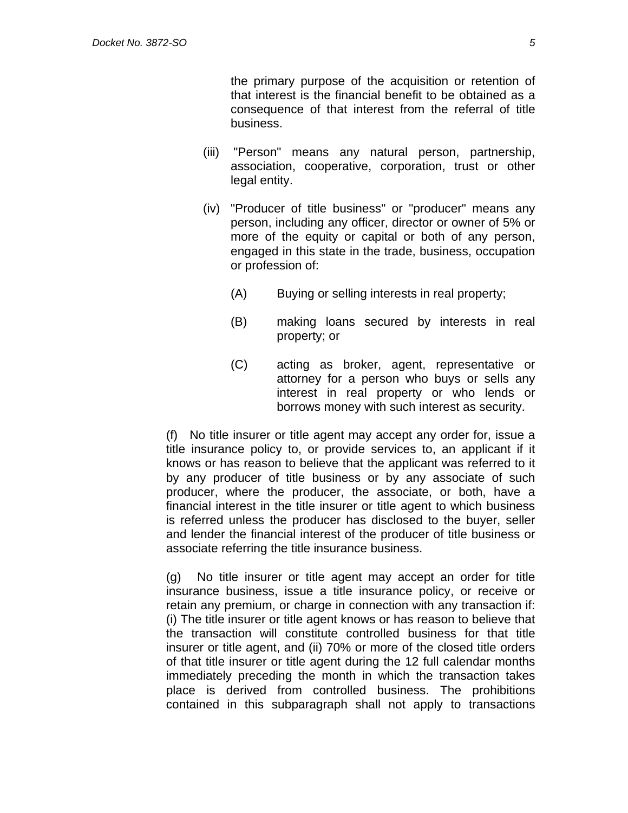the primary purpose of the acquisition or retention of that interest is the financial benefit to be obtained as a consequence of that interest from the referral of title business.

- (iii) "Person" means any natural person, partnership, association, cooperative, corporation, trust or other legal entity.
- (iv) "Producer of title business" or "producer" means any person, including any officer, director or owner of 5% or more of the equity or capital or both of any person, engaged in this state in the trade, business, occupation or profession of:
	- (A) Buying or selling interests in real property;
	- (B) making loans secured by interests in real property; or
	- (C) acting as broker, agent, representative or attorney for a person who buys or sells any interest in real property or who lends or borrows money with such interest as security.

(f) No title insurer or title agent may accept any order for, issue a title insurance policy to, or provide services to, an applicant if it knows or has reason to believe that the applicant was referred to it by any producer of title business or by any associate of such producer, where the producer, the associate, or both, have a financial interest in the title insurer or title agent to which business is referred unless the producer has disclosed to the buyer, seller and lender the financial interest of the producer of title business or associate referring the title insurance business.

(g) No title insurer or title agent may accept an order for title insurance business, issue a title insurance policy, or receive or retain any premium, or charge in connection with any transaction if: (i) The title insurer or title agent knows or has reason to believe that the transaction will constitute controlled business for that title insurer or title agent, and (ii) 70% or more of the closed title orders of that title insurer or title agent during the 12 full calendar months immediately preceding the month in which the transaction takes place is derived from controlled business. The prohibitions contained in this subparagraph shall not apply to transactions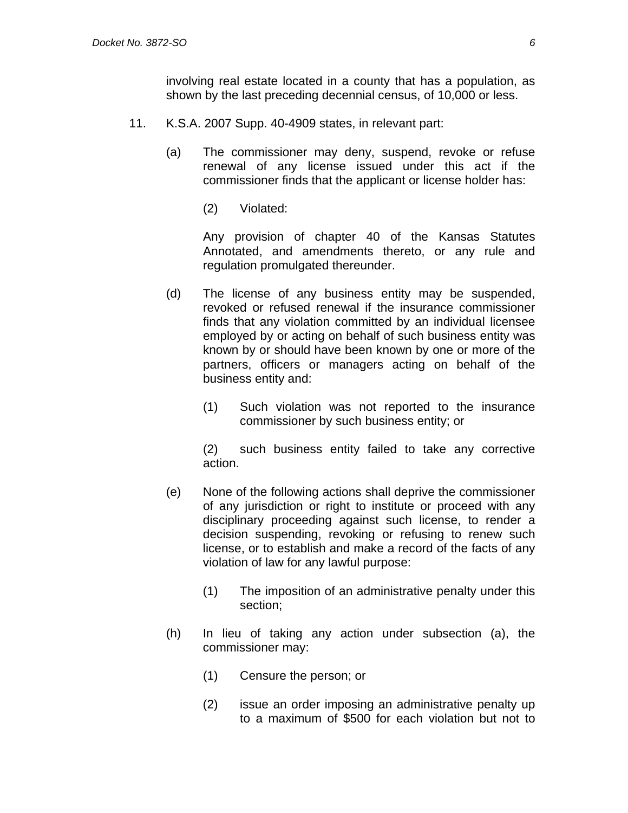involving real estate located in a county that has a population, as shown by the last preceding decennial census, of 10,000 or less.

- 11. K.S.A. 2007 Supp. 40-4909 states, in relevant part:
	- (a) The commissioner may deny, suspend, revoke or refuse renewal of any license issued under this act if the commissioner finds that the applicant or license holder has:
		- (2) Violated:

 Any provision of chapter 40 of the Kansas Statutes Annotated, and amendments thereto, or any rule and regulation promulgated thereunder.

- (d) The license of any business entity may be suspended, revoked or refused renewal if the insurance commissioner finds that any violation committed by an individual licensee employed by or acting on behalf of such business entity was known by or should have been known by one or more of the partners, officers or managers acting on behalf of the business entity and:
	- (1) Such violation was not reported to the insurance commissioner by such business entity; or

 (2) such business entity failed to take any corrective action.

- (e) None of the following actions shall deprive the commissioner of any jurisdiction or right to institute or proceed with any disciplinary proceeding against such license, to render a decision suspending, revoking or refusing to renew such license, or to establish and make a record of the facts of any violation of law for any lawful purpose:
	- (1) The imposition of an administrative penalty under this section;
- (h) In lieu of taking any action under subsection (a), the commissioner may:
	- (1) Censure the person; or
	- (2) issue an order imposing an administrative penalty up to a maximum of \$500 for each violation but not to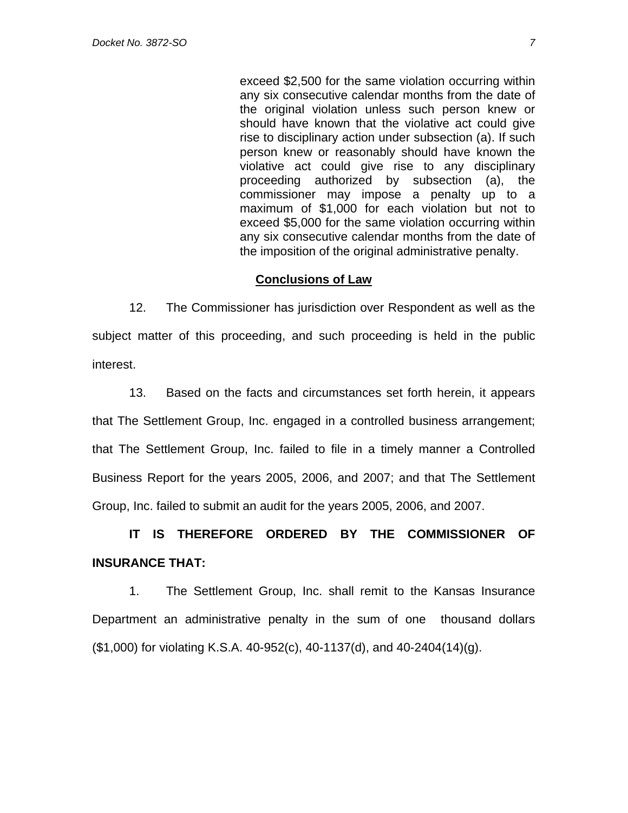exceed \$2,500 for the same violation occurring within any six consecutive calendar months from the date of the original violation unless such person knew or should have known that the violative act could give rise to disciplinary action under subsection (a). If such person knew or reasonably should have known the violative act could give rise to any disciplinary proceeding authorized by subsection (a), the commissioner may impose a penalty up to a maximum of \$1,000 for each violation but not to exceed \$5,000 for the same violation occurring within any six consecutive calendar months from the date of the imposition of the original administrative penalty.

### **Conclusions of Law**

12. The Commissioner has jurisdiction over Respondent as well as the subject matter of this proceeding, and such proceeding is held in the public interest.

13. Based on the facts and circumstances set forth herein, it appears that The Settlement Group, Inc. engaged in a controlled business arrangement; that The Settlement Group, Inc. failed to file in a timely manner a Controlled Business Report for the years 2005, 2006, and 2007; and that The Settlement Group, Inc. failed to submit an audit for the years 2005, 2006, and 2007.

# **IT IS THEREFORE ORDERED BY THE COMMISSIONER OF INSURANCE THAT:**

1. The Settlement Group, Inc. shall remit to the Kansas Insurance Department an administrative penalty in the sum of one thousand dollars (\$1,000) for violating K.S.A. 40-952(c), 40-1137(d), and 40-2404(14)(g).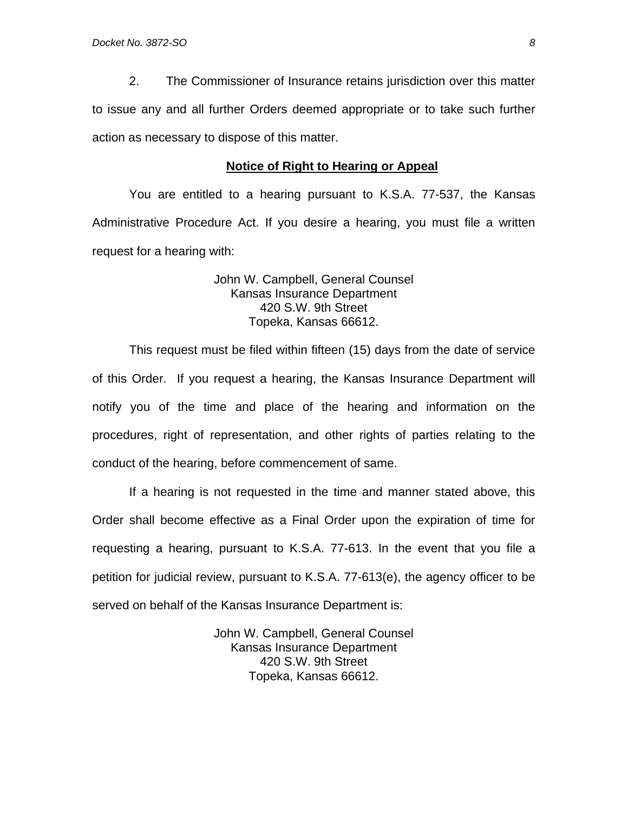2. The Commissioner of Insurance retains jurisdiction over this matter to issue any and all further Orders deemed appropriate or to take such further action as necessary to dispose of this matter.

#### **Notice of Right to Hearing or Appeal**

You are entitled to a hearing pursuant to K.S.A. 77-537, the Kansas Administrative Procedure Act. If you desire a hearing, you must file a written request for a hearing with:

> John W. Campbell, General Counsel Kansas Insurance Department 420 S.W. 9th Street Topeka, Kansas 66612.

This request must be filed within fifteen (15) days from the date of service of this Order. If you request a hearing, the Kansas Insurance Department will notify you of the time and place of the hearing and information on the procedures, right of representation, and other rights of parties relating to the conduct of the hearing, before commencement of same.

If a hearing is not requested in the time and manner stated above, this Order shall become effective as a Final Order upon the expiration of time for requesting a hearing, pursuant to K.S.A. 77-613. In the event that you file a petition for judicial review, pursuant to K.S.A. 77-613(e), the agency officer to be served on behalf of the Kansas Insurance Department is:

> John W. Campbell, General Counsel Kansas Insurance Department 420 S.W. 9th Street Topeka, Kansas 66612.